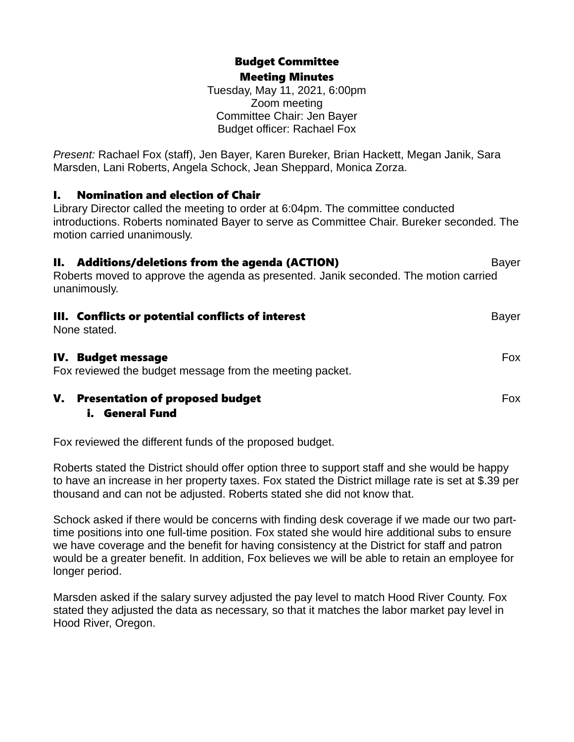# Budget Committee Meeting Minutes

Tuesday, May 11, 2021, 6:00pm Zoom meeting Committee Chair: Jen Bayer Budget officer: Rachael Fox

*Present:* Rachael Fox (staff), Jen Bayer, Karen Bureker, Brian Hackett, Megan Janik, Sara Marsden, Lani Roberts, Angela Schock, Jean Sheppard, Monica Zorza.

# I. Nomination and election of Chair

Library Director called the meeting to order at 6:04pm. The committee conducted introductions. Roberts nominated Bayer to serve as Committee Chair. Bureker seconded. The motion carried unanimously.

| II. Additions/deletions from the agenda (ACTION)<br>Roberts moved to approve the agenda as presented. Janik seconded. The motion carried<br>unanimously. | <b>Bayer</b> |
|----------------------------------------------------------------------------------------------------------------------------------------------------------|--------------|
| III. Conflicts or potential conflicts of interest<br>None stated.                                                                                        | <b>Bayer</b> |
| IV. Budget message<br>Fox reviewed the budget message from the meeting packet.                                                                           | <b>Fox</b>   |
| V.<br><b>Presentation of proposed budget</b>                                                                                                             | Fox.         |

# i. General Fund

Fox reviewed the different funds of the proposed budget.

Roberts stated the District should offer option three to support staff and she would be happy to have an increase in her property taxes. Fox stated the District millage rate is set at \$.39 per thousand and can not be adjusted. Roberts stated she did not know that.

Schock asked if there would be concerns with finding desk coverage if we made our two parttime positions into one full-time position. Fox stated she would hire additional subs to ensure we have coverage and the benefit for having consistency at the District for staff and patron would be a greater benefit. In addition, Fox believes we will be able to retain an employee for longer period.

Marsden asked if the salary survey adjusted the pay level to match Hood River County. Fox stated they adjusted the data as necessary, so that it matches the labor market pay level in Hood River, Oregon.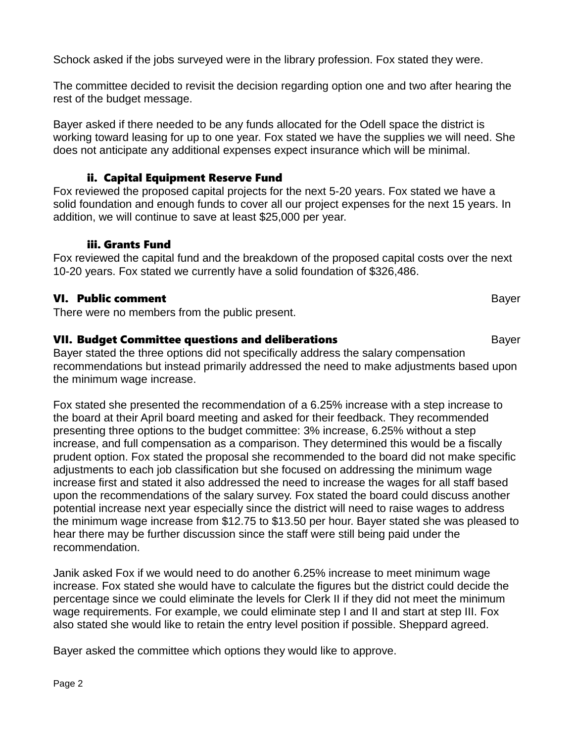Schock asked if the jobs surveyed were in the library profession. Fox stated they were.

The committee decided to revisit the decision regarding option one and two after hearing the rest of the budget message.

Bayer asked if there needed to be any funds allocated for the Odell space the district is working toward leasing for up to one year. Fox stated we have the supplies we will need. She does not anticipate any additional expenses expect insurance which will be minimal.

### ii. Capital Equipment Reserve Fund

Fox reviewed the proposed capital projects for the next 5-20 years. Fox stated we have a solid foundation and enough funds to cover all our project expenses for the next 15 years. In addition, we will continue to save at least \$25,000 per year.

#### iii. Grants Fund

Fox reviewed the capital fund and the breakdown of the proposed capital costs over the next 10-20 years. Fox stated we currently have a solid foundation of \$326,486.

### VI. Public comment Bayer

There were no members from the public present.

### **VII. Budget Committee questions and deliberations Bayer** Bayer

Bayer stated the three options did not specifically address the salary compensation recommendations but instead primarily addressed the need to make adjustments based upon the minimum wage increase.

Fox stated she presented the recommendation of a 6.25% increase with a step increase to the board at their April board meeting and asked for their feedback. They recommended presenting three options to the budget committee: 3% increase, 6.25% without a step increase, and full compensation as a comparison. They determined this would be a fiscally prudent option. Fox stated the proposal she recommended to the board did not make specific adjustments to each job classification but she focused on addressing the minimum wage increase first and stated it also addressed the need to increase the wages for all staff based upon the recommendations of the salary survey. Fox stated the board could discuss another potential increase next year especially since the district will need to raise wages to address the minimum wage increase from \$12.75 to \$13.50 per hour. Bayer stated she was pleased to hear there may be further discussion since the staff were still being paid under the recommendation.

Janik asked Fox if we would need to do another 6.25% increase to meet minimum wage increase. Fox stated she would have to calculate the figures but the district could decide the percentage since we could eliminate the levels for Clerk II if they did not meet the minimum wage requirements. For example, we could eliminate step I and II and start at step III. Fox also stated she would like to retain the entry level position if possible. Sheppard agreed.

Bayer asked the committee which options they would like to approve.